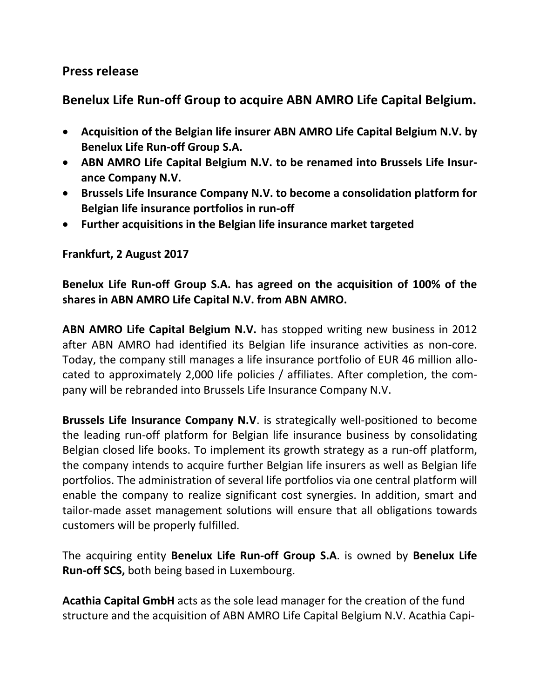## **Press release**

# **Benelux Life Run-off Group to acquire ABN AMRO Life Capital Belgium.**

- **Acquisition of the Belgian life insurer ABN AMRO Life Capital Belgium N.V. by Benelux Life Run-off Group S.A.**
- **ABN AMRO Life Capital Belgium N.V. to be renamed into Brussels Life Insurance Company N.V.**
- **Brussels Life Insurance Company N.V. to become a consolidation platform for Belgian life insurance portfolios in run-off**
- **Further acquisitions in the Belgian life insurance market targeted**

#### **Frankfurt, 2 August 2017**

## **Benelux Life Run-off Group S.A. has agreed on the acquisition of 100% of the shares in ABN AMRO Life Capital N.V. from ABN AMRO.**

**ABN AMRO Life Capital Belgium N.V.** has stopped writing new business in 2012 after ABN AMRO had identified its Belgian life insurance activities as non-core. Today, the company still manages a life insurance portfolio of EUR 46 million allocated to approximately 2,000 life policies / affiliates. After completion, the company will be rebranded into Brussels Life Insurance Company N.V.

**Brussels Life Insurance Company N.V**. is strategically well-positioned to become the leading run-off platform for Belgian life insurance business by consolidating Belgian closed life books. To implement its growth strategy as a run-off platform, the company intends to acquire further Belgian life insurers as well as Belgian life portfolios. The administration of several life portfolios via one central platform will enable the company to realize significant cost synergies. In addition, smart and tailor-made asset management solutions will ensure that all obligations towards customers will be properly fulfilled.

The acquiring entity **Benelux Life Run-off Group S.A**. is owned by **Benelux Life Run-off SCS,** both being based in Luxembourg.

**Acathia Capital GmbH** acts as the sole lead manager for the creation of the fund structure and the acquisition of ABN AMRO Life Capital Belgium N.V. Acathia Capi